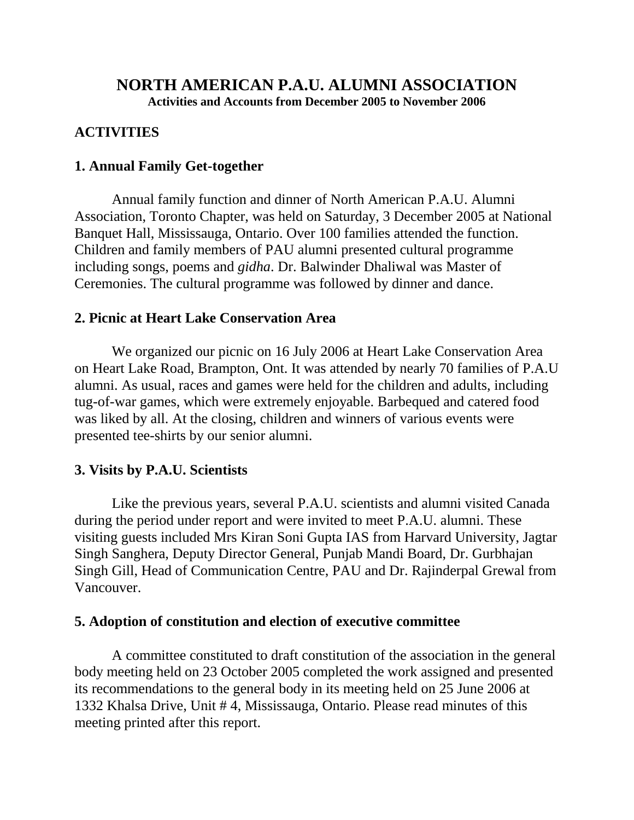## **NORTH AMERICAN P.A.U. ALUMNI ASSOCIATION**

**Activities and Accounts from December 2005 to November 2006**

### **ACTIVITIES**

### **1. Annual Family Get-together**

Annual family function and dinner of North American P.A.U. Alumni Association, Toronto Chapter, was held on Saturday, 3 December 2005 at National Banquet Hall, Mississauga, Ontario. Over 100 families attended the function. Children and family members of PAU alumni presented cultural programme including songs, poems and *gidha*. Dr. Balwinder Dhaliwal was Master of Ceremonies. The cultural programme was followed by dinner and dance.

### **2. Picnic at Heart Lake Conservation Area**

We organized our picnic on 16 July 2006 at Heart Lake Conservation Area on Heart Lake Road, Brampton, Ont. It was attended by nearly 70 families of P.A.U alumni. As usual, races and games were held for the children and adults, including tug-of-war games, which were extremely enjoyable. Barbequed and catered food was liked by all. At the closing, children and winners of various events were presented tee-shirts by our senior alumni.

### **3. Visits by P.A.U. Scientists**

Like the previous years, several P.A.U. scientists and alumni visited Canada during the period under report and were invited to meet P.A.U. alumni. These visiting guests included Mrs Kiran Soni Gupta IAS from Harvard University, Jagtar Singh Sanghera, Deputy Director General, Punjab Mandi Board, Dr. Gurbhajan Singh Gill, Head of Communication Centre, PAU and Dr. Rajinderpal Grewal from Vancouver.

### **5. Adoption of constitution and election of executive committee**

A committee constituted to draft constitution of the association in the general body meeting held on 23 October 2005 completed the work assigned and presented its recommendations to the general body in its meeting held on 25 June 2006 at 1332 Khalsa Drive, Unit # 4, Mississauga, Ontario. Please read minutes of this meeting printed after this report.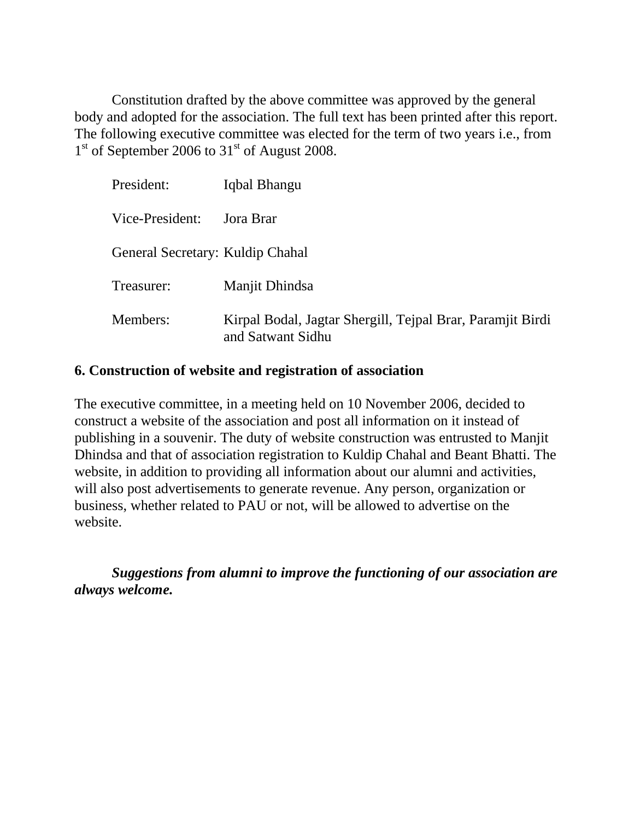Constitution drafted by the above committee was approved by the general body and adopted for the association. The full text has been printed after this report. The following executive committee was elected for the term of two years i.e., from 1<sup>st</sup> of September 2006 to 31<sup>st</sup> of August 2008.

| President:                       | Iqbal Bhangu                                                                    |
|----------------------------------|---------------------------------------------------------------------------------|
| Vice-President:                  | Jora Brar                                                                       |
| General Secretary: Kuldip Chahal |                                                                                 |
| Treasurer:                       | Manjit Dhindsa                                                                  |
| Members:                         | Kirpal Bodal, Jagtar Shergill, Tejpal Brar, Paramjit Birdi<br>and Satwant Sidhu |

#### **6. Construction of website and registration of association**

The executive committee, in a meeting held on 10 November 2006, decided to construct a website of the association and post all information on it instead of publishing in a souvenir. The duty of website construction was entrusted to Manjit Dhindsa and that of association registration to Kuldip Chahal and Beant Bhatti. The website, in addition to providing all information about our alumni and activities, will also post advertisements to generate revenue. Any person, organization or business, whether related to PAU or not, will be allowed to advertise on the website.

*Suggestions from alumni to improve the functioning of our association are always welcome.*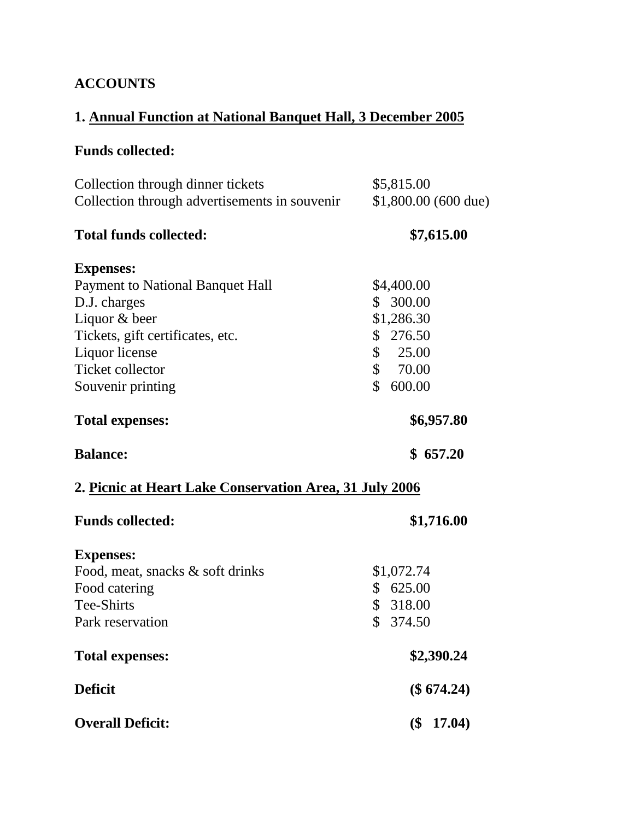## **ACCOUNTS**

# **1. Annual Function at National Banquet Hall, 3 December 2005**

# **Funds collected:**

| Collection through dinner tickets<br>Collection through advertisements in souvenir | \$5,815.00<br>$$1,800.00$ (600 due) |  |  |
|------------------------------------------------------------------------------------|-------------------------------------|--|--|
| <b>Total funds collected:</b>                                                      | \$7,615.00                          |  |  |
| <b>Expenses:</b>                                                                   |                                     |  |  |
| <b>Payment to National Banquet Hall</b>                                            | \$4,400.00                          |  |  |
| D.J. charges                                                                       | \$300.00                            |  |  |
| Liquor & beer                                                                      | \$1,286.30                          |  |  |
| Tickets, gift certificates, etc.                                                   | \$276.50                            |  |  |
| Liquor license                                                                     | \$<br>25.00                         |  |  |
| <b>Ticket collector</b>                                                            | \$<br>70.00                         |  |  |
| Souvenir printing                                                                  | $\mathbb{S}$<br>600.00              |  |  |
| <b>Total expenses:</b>                                                             | \$6,957.80                          |  |  |
| <b>Balance:</b>                                                                    | \$657.20                            |  |  |
| 2. Picnic at Heart Lake Conservation Area, 31 July 2006                            |                                     |  |  |
| <b>Funds collected:</b>                                                            | \$1,716.00                          |  |  |
| <b>Expenses:</b>                                                                   |                                     |  |  |
| Food, meat, snacks & soft drinks                                                   | \$1,072.74                          |  |  |
| Food catering                                                                      | \$625.00                            |  |  |
| Tee-Shirts                                                                         | \$318.00                            |  |  |
| Park reservation                                                                   | \$ 374.50                           |  |  |
| <b>Total expenses:</b>                                                             | \$2,390.24                          |  |  |
| <b>Deficit</b>                                                                     | $(\$ 674.24)$                       |  |  |
| <b>Overall Deficit:</b>                                                            | $$^{($<br>17.04)                    |  |  |